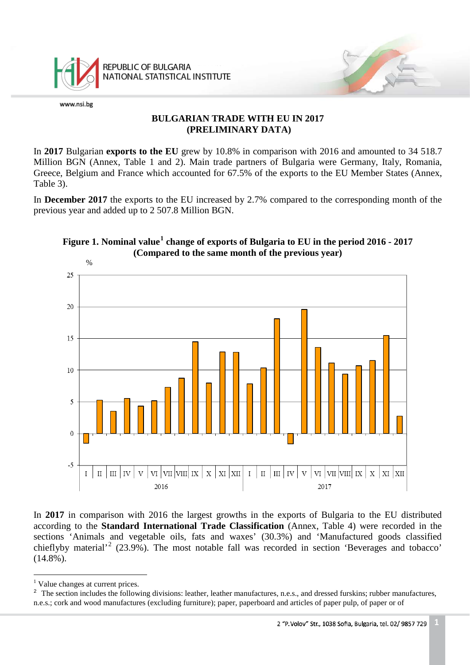

## **BULGARIAN TRADE WITH EU IN 2017 (PRELIMINARY DATA)**

In **2017** Bulgarian **exports to the EU** grew by 10.8% in comparison with 2016 and amounted to 34 518.7 Million BGN (Annex, Table 1 and 2). Main trade partners of Bulgaria were Germany, Italy, Romania, Greece, Belgium and France which accounted for 67.5% of the exports to the EU Member States (Annex, Table 3).

In **December 2017** the exports to the EU increased by 2.7% compared to the corresponding month of the previous year and added up to 2 507.8 Million BGN.



## **Figure 1. Nominal value[1](#page-0-0) change of exports of Bulgaria to EU in the period 2016 - 2017 (Compared to the same month of the previous year)**

In **2017** in comparison with 2016 the largest growths in the exports of Bulgaria to the EU distributed according to the **Standard International Trade Classification** (Annex, Table 4) were recorded in the sections 'Animals and vegetable oils, fats and waxes' (30.3%) and 'Manufactured goods classified chieflyby material'[2](#page-0-1) (23.9%). The most notable fall was recorded in section 'Beverages and tobacco'  $(14.8\%)$ .

<span id="page-0-2"></span> $\frac{1}{1}$ <sup>1</sup> Value changes at current prices.

<span id="page-0-1"></span><span id="page-0-0"></span><sup>&</sup>lt;sup>2</sup> The section includes the following divisions: leather, leather manufactures, n.e.s., and dressed furskins; rubber manufactures, n.e.s.; cork and wood manufactures (excluding furniture); paper, paperboard and articles of paper pulp, of paper or of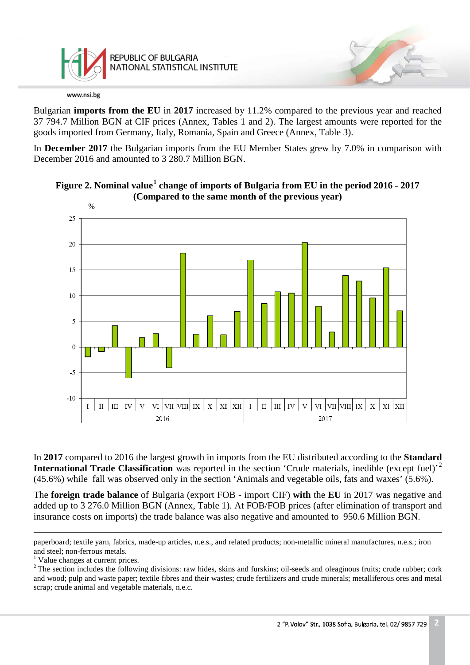

Bulgarian **imports from the EU** in **2017** increased by 11.2% compared to the previous year and reached 37 794.7 Million BGN at CIF prices (Annex, Tables 1 and 2). The largest amounts were reported for the goods imported from Germany, Italy, Romania, Spain and Greece (Annex, Table 3).

In **December 2017** the Bulgarian imports from the EU Member States grew by 7.0% in comparison with December 2016 and amounted to 3 280.7 Million BGN.





In **2017** compared to 2016 the largest growth in imports from the EU distributed according to the **Standard International Trade Classification** was reported in the section 'Crude materials, inedible (except fuel)<sup>'[2](#page-1-0)</sup> (45.6%) while fall was observed only in the section 'Animals and vegetable oils, fats and waxes' (5.6%).

The **foreign trade balance** of Bulgaria (export FOB - import CIF) **with** the **EU** in 2017 was negative and added up to 3 276.0 Million BGN (Annex, Table 1). At FOB/FOB prices (after elimination of transport and insurance costs on imports) the trade balance was also negative and amounted to 950.6 Million BGN.

Ĩ. paperboard; textile yarn, fabrics, made-up articles, n.e.s., and related products; non-metallic mineral manufactures, n.e.s.; iron and steel; non-ferrous metals.<br><sup>1</sup> Value changes at current prices.

<span id="page-1-0"></span><sup>&</sup>lt;sup>2</sup> The section includes the following divisions: raw hides, skins and furskins; oil-seeds and oleaginous fruits; crude rubber; cork and wood; pulp and waste paper; textile fibres and their wastes; crude fertilizers and crude minerals; metalliferous ores and metal scrap; crude animal and vegetable materials, n.e.c.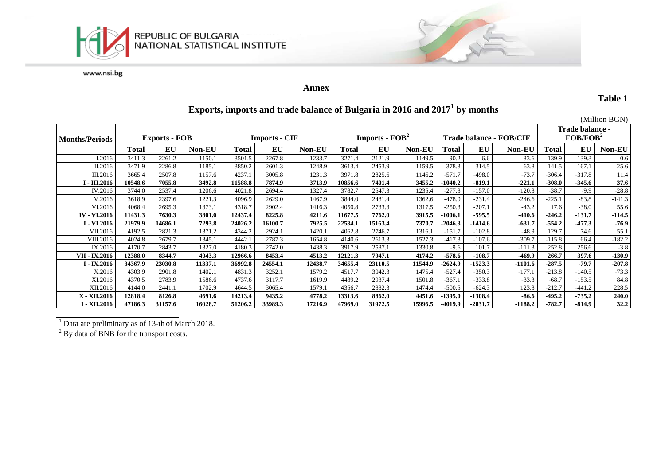



### **Annex**

**Table 1**

# **Exports, imports and trade balance of Bulgaria in 2016 and 20171 by months**

|                       |                      |         |               |                      |         |               |                                            |           |               |                         |           |               |                                         |          | (Million BGN) |
|-----------------------|----------------------|---------|---------------|----------------------|---------|---------------|--------------------------------------------|-----------|---------------|-------------------------|-----------|---------------|-----------------------------------------|----------|---------------|
| <b>Months/Periods</b> | <b>Exports - FOB</b> |         |               | <b>Imports - CIF</b> |         |               | <b>Imports - <math>\text{FOB}^2</math></b> |           |               | Trade balance - FOB/CIF |           |               | Trade balance -<br>FOB/FOB <sup>2</sup> |          |               |
|                       | <b>Total</b>         | EU      | <b>Non-EU</b> | <b>Total</b>         | EU      | <b>Non-EU</b> | Total                                      | <b>EU</b> | <b>Non-EU</b> | Total                   | EU        | <b>Non-EU</b> | Total                                   | EU       | Non-EU        |
| I.2016                | 3411.3               | 2261.2  | 1150.1        | 3501.5               | 2267.8  | 1233.7        | 3271.4                                     | 2121.9    | 1149.5        | $-90.2$                 | $-6.6$    | $-83.6$       | 139.9                                   | 139.3    | 0.6           |
| II.2016               | 3471.9               | 2286.8  | 1185.1        | 3850.2               | 2601.3  | 1248.9        | 3613.4                                     | 2453.9    | 1159.5        | $-378.3$                | $-314.5$  | $-63.8$       | $-141.5$                                | $-167.1$ | 25.6          |
| III.2016              | 3665.4               | 2507.8  | 1157.6        | 4237.1               | 3005.8  | 1231.3        | 3971.8                                     | 2825.6    | 1146.2        | $-571.7$                | $-498.0$  | $-73.7$       | $-306.4$                                | $-317.8$ | 11.4          |
| I - III.2016          | 10548.6              | 7055.8  | 3492.8        | 11588.8              | 7874.9  | 3713.9        | 10856.6                                    | 7401.4    | 3455.2        | $-1040.2$               | $-819.1$  | $-221.1$      | $-308.0$                                | $-345.6$ | 37.6          |
| IV.2016               | 3744.0               | 2537.4  | 1206.6        | 4021.8               | 2694.4  | 1327.4        | 3782.7                                     | 2547.3    | 1235.4        | $-277.8$                | $-157.0$  | $-120.8$      | $-38.7$                                 | $-9.9$   | $-28.8$       |
| V.2016                | 3618.9               | 2397.6  | 1221.3        | 4096.9               | 2629.0  | 1467.9        | 3844.0                                     | 2481.4    | 1362.6        | $-478.0$                | $-231.4$  | $-246.6$      | $-225.1$                                | $-83.8$  | $-141.3$      |
| VI.2016               | 4068.4               | 2695.3  | 1373.1        | 4318.7               | 2902.4  | 1416.3        | 4050.8                                     | 2733.3    | 1317.5        | $-250.3$                | $-207.1$  | $-43.2$       | 17.6                                    | $-38.0$  | 55.6          |
| <b>IV - VI.2016</b>   | 11431.3              | 7630.3  | 3801.0        | 12437.4              | 8225.8  | 4211.6        | 11677.5                                    | 7762.0    | 3915.5        | $-1006.1$               | $-595.5$  | $-410.6$      | $-246.2$                                | $-131.7$ | $-114.5$      |
| I - VI.2016           | 21979.9              | 14686.1 | 7293.8        | 24026.2              | 16100.7 | 7925.5        | 22534.1                                    | 15163.4   | 7370.7        | $-2046.3$               | $-1414.6$ | $-631.7$      | $-554.2$                                | $-477.3$ | $-76.9$       |
| VII.2016              | 4192.5               | 2821.3  | 1371.2        | 4344.2               | 2924.1  | 1420.1        | 4062.8                                     | 2746.7    | 1316.1        | $-151.7$                | $-102.8$  | $-48.9$       | 129.7                                   | 74.6     | 55.1          |
| VIII.2016             | 4024.8               | 2679.7  | 1345.1        | 4442.1               | 2787.3  | 1654.8        | 4140.6                                     | 2613.3    | 1527.3        | $-417.3$                | $-107.6$  | $-309.7$      | $-115.8$                                | 66.4     | $-182.2$      |
| IX.2016               | 4170.7               | 2843.7  | 1327.0        | 4180.3               | 2742.0  | 1438.3        | 3917.9                                     | 2587.1    | 1330.8        | $-9.6$                  | 101.7     | $-111.3$      | 252.8                                   | 256.6    | $-3.8$        |
| VII - IX.2016         | 12388.0              | 8344.7  | 4043.3        | 12966.6              | 8453.4  | 4513.2        | 12121.3                                    | 7947.1    | 4174.2        | $-578.6$                | $-108.7$  | $-469.9$      | 266.7                                   | 397.6    | $-130.9$      |
| I - IX.2016           | 34367.9              | 23030.8 | 11337.1       | 36992.8              | 24554.1 | 12438.7       | 34655.4                                    | 23110.5   | 11544.9       | $-2624.9$               | $-1523.3$ | $-1101.6$     | $-287.5$                                | $-79.7$  | $-207.8$      |
| X.2016                | 4303.9               | 2901.8  | 1402.1        | 4831.3               | 3252.1  | 1579.2        | 4517.7                                     | 3042.3    | 1475.4        | $-527.4$                | $-350.3$  | $-177.1$      | $-213.8$                                | $-140.5$ | $-73.3$       |
| XI.2016               | 4370.5               | 2783.9  | 1586.6        | 4737.6               | 3117.7  | 1619.9        | 4439.2                                     | 2937.4    | 1501.8        | $-367.1$                | $-333.8$  | $-33.3$       | $-68.7$                                 | $-153.5$ | 84.8          |
| XII.2016              | 4144.0               | 2441.1  | 1702.9        | 4644.5               | 3065.4  | 1579.1        | 4356.7                                     | 2882.3    | 1474.4        | $-500.5$                | $-624.3$  | 123.8         | $-212.7$                                | $-441.2$ | 228.5         |
| X - XII.2016          | 12818.4              | 8126.8  | 4691.6        | 14213.4              | 9435.2  | 4778.2        | 13313.6                                    | 8862.0    | 4451.6        | $-1395.0$               | $-1308.4$ | $-86.6$       | $-495.2$                                | $-735.2$ | 240.0         |
| I - XII.2016          | 47186.3              | 31157.6 | 16028.7       | 51206.2              | 33989.3 | 17216.9       | 47969.0                                    | 31972.5   | 15996.5       | $-4019.9$               | $-2831.7$ | $-1188.2$     | $-782.7$                                | $-814.9$ | 32.2          |

 $1$  Data are preliminary as of 13-th of March 2018.

 $2^2$  By data of BNB for the transport costs.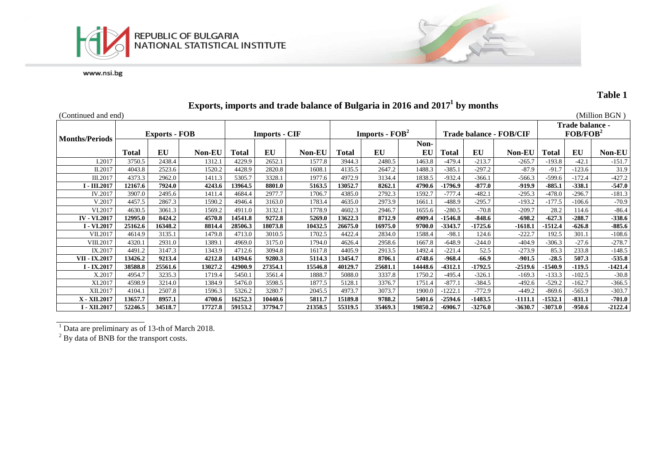



## **Table 1**

# **Exports, imports and trade balance of Bulgaria in 2016 and 20171 by months**

| (Continued and end)   |                      |         |         |                      |         |         |                                    |         |            |                         |           |               |                                         |          | (Million $BGN$ ) |
|-----------------------|----------------------|---------|---------|----------------------|---------|---------|------------------------------------|---------|------------|-------------------------|-----------|---------------|-----------------------------------------|----------|------------------|
| <b>Months/Periods</b> | <b>Exports - FOB</b> |         |         | <b>Imports - CIF</b> |         |         | <b>Imports - <math>FOB2</math></b> |         |            | Trade balance - FOB/CIF |           |               | Trade balance -<br>FOB/FOB <sup>2</sup> |          |                  |
|                       | <b>Total</b>         | EU      | Non-EU  | Total                | EU      | Non-EU  | Total                              | EU      | Non-<br>EU | Total                   | EU        | <b>Non-EU</b> | Total                                   | EU       | <b>Non-EU</b>    |
| I.2017                | 3750.5               | 2438.4  | 1312.1  | 4229.9               | 2652.   | 1577.8  | 3944.3                             | 2480.5  | 1463.8     | $-479.4$                | $-213.7$  | $-265.7$      | $-193.8$                                | $-42.1$  | $-151.7$         |
| II.2017               | 4043.8               | 2523.6  | 1520.2  | 4428.9               | 2820.8  | 1608.1  | 4135.5                             | 2647.2  | 1488.3     | $-385.1$                | $-297.2$  | $-87.9$       | $-91.7$                                 | $-123.6$ | 31.9             |
| III.2017              | 4373.3               | 2962.0  | 1411.3  | 5305.7               | 3328.   | 1977.6  | 4972.9                             | 3134.4  | 1838.5     | $-932.4$                | $-366.1$  | $-566.3$      | $-599.6$                                | $-172.4$ | $-427.2$         |
| I - III.2017          | 12167.6              | 7924.0  | 4243.6  | 13964.5              | 8801.0  | 5163.5  | 13052.7                            | 8262.1  | 4790.6     | $-1796.9$               | $-877.0$  | $-919.9$      | $-885.1$                                | $-338.1$ | $-547.0$         |
| IV.2017               | 3907.0               | 2495.6  | 1411.4  | 4684.4               | 2977.7  | 1706.7  | 4385.0                             | 2792.3  | 1592.7     | $-777.4$                | $-482.1$  | $-295.3$      | $-478.0$                                | $-296.7$ | $-181.3$         |
| V.2017                | 4457.5               | 2867.3  | 1590.2  | 4946.4               | 3163.0  | 1783.4  | 4635.0                             | 2973.9  | 1661.1     | $-488.9$                | $-295.7$  | $-193.2$      | $-177.5$                                | $-106.6$ | $-70.9$          |
| VI.2017               | 4630.5               | 3061.3  | 1569.2  | 4911.0               | 3132.1  | 1778.9  | 4602.3                             | 2946.7  | 1655.6     | $-280.5$                | $-70.8$   | $-209.7$      | 28.2                                    | 114.6    | $-86.4$          |
| <b>IV - VI.2017</b>   | 12995.0              | 8424.2  | 4570.8  | 14541.8              | 9272.8  | 5269.0  | 13622.3                            | 8712.9  | 4909.4     | $-1546.8$               | $-848.6$  | $-698.2$      | $-627.3$                                | $-288.7$ | $-338.6$         |
| I - VI.2017           | 25162.6              | 16348.2 | 8814.4  | 28506.3              | 18073.8 | 10432.5 | 26675.0                            | 16975.0 | 9700.0     | $-3343.7$               | $-1725.6$ | $-1618.1$     | $-1512.4$                               | $-626.8$ | $-885.6$         |
| VII.2017              | 4614.9               | 3135.1  | 1479.8  | 4713.0               | 3010.5  | 1702.5  | 4422.4                             | 2834.0  | 1588.4     | $-98.1$                 | 124.6     | $-222.7$      | 192.5                                   | 301.1    | $-108.6$         |
| VIII.2017             | 4320.1               | 2931.0  | 1389.1  | 4969.0               | 3175.0  | 1794.0  | 4626.4                             | 2958.6  | 1667.8     | $-648.9$                | $-244.0$  | $-404.9$      | $-306.3$                                | $-27.6$  | $-278.7$         |
| IX.2017               | 4491.2               | 3147.3  | 1343.9  | 4712.6               | 3094.8  | 1617.8  | 4405.9                             | 2913.5  | 1492.4     | $-221.4$                | 52.5      | $-273.9$      | 85.3                                    | 233.8    | $-148.5$         |
| VII - IX.2017         | 13426.2              | 9213.4  | 4212.8  | 14394.6              | 9280.3  | 5114.3  | 13454.7                            | 8706.1  | 4748.6     | $-968.4$                | $-66.9$   | $-901.5$      | $-28.5$                                 | 507.3    | $-535.8$         |
| I - IX.2017           | 38588.8              | 25561.6 | 13027.2 | 42900.9              | 27354.1 | 15546.8 | 40129.7                            | 25681.1 | 14448.6    | $-4312.1$               | $-1792.5$ | $-2519.6$     | $-1540.9$                               | $-119.5$ | $-1421.4$        |
| X.2017                | 4954.7               | 3235.3  | 1719.4  | 5450.1               | 3561.4  | 1888.7  | 5088.0                             | 3337.8  | 1750.2     | $-495.4$                | $-326.1$  | $-169.3$      | $-133.3$                                | $-102.5$ | $-30.8$          |
| XI.2017               | 4598.9               | 3214.0  | 1384.9  | 5476.0               | 3598.5  | 1877.5  | 5128.1                             | 3376.7  | 1751.4     | $-877.1$                | $-384.5$  | $-492.6$      | $-529.2$                                | $-162.7$ | $-366.5$         |
| XII.2017              | 4104.1               | 2507.8  | 1596.3  | 5326.2               | 3280.7  | 2045.5  | 4973.7                             | 3073.7  | 1900.0     | 1222.1                  | $-772.9$  | $-449.2$      | $-869.6$                                | $-565.9$ | $-303.7$         |
| X - XII.2017          | 13657.7              | 8957.1  | 4700.6  | 16252.3              | 10440.6 | 5811.7  | 15189.8                            | 9788.2  | 5401.6     | $-2594.6$               | $-1483.5$ | $-1111.1$     | $-1532.1$                               | $-831.1$ | $-701.0$         |
| I - XII.2017          | 52246.5              | 34518.7 | 17727.8 | 59153.2              | 37794.7 | 21358.5 | 55319.5                            | 35469.3 | 19850.2    | $-6906.7$               | $-3276.0$ | -3630.7       | $-3073.0$                               | $-950.6$ | $-2122.4$        |

<sup>1</sup> Data are preliminary as of 13-th of March 2018.

 $2^{2}$  By data of BNB for the transport costs.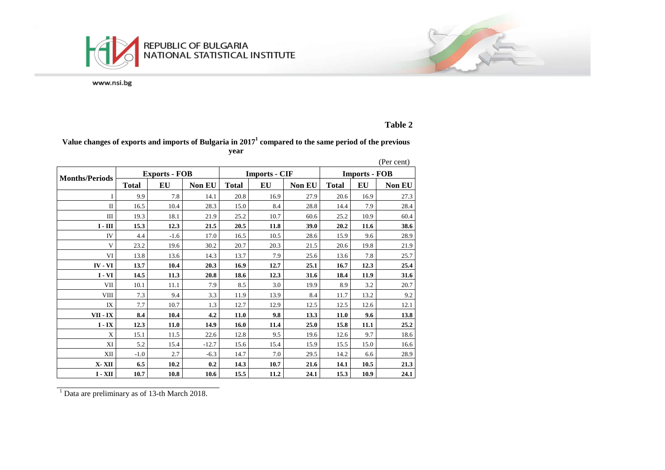

## **Table 2**

#### **Value changes of exports and imports of Bulgaria in 2017<sup>1</sup> compared to the same period of the previous year**

|                       |              |                      |               |              |                      |               |                      |      | (Per cent) |  |
|-----------------------|--------------|----------------------|---------------|--------------|----------------------|---------------|----------------------|------|------------|--|
| <b>Months/Periods</b> |              | <b>Exports - FOB</b> |               |              | <b>Imports - CIF</b> |               | <b>Imports - FOB</b> |      |            |  |
|                       | <b>Total</b> | EU                   | <b>Non EU</b> | <b>Total</b> | EU                   | <b>Non EU</b> | <b>Total</b>         | EU   | Non EU     |  |
| I                     | 9.9          | 7.8                  | 14.1          | 20.8         | 16.9                 | 27.9          | 20.6                 | 16.9 | 27.3       |  |
| $\mathbf{I}$          | 16.5         | 10.4                 | 28.3          | 15.0         | 8.4                  | 28.8          | 14.4                 | 7.9  | 28.4       |  |
| Ш                     | 19.3         | 18.1                 | 21.9          | 25.2         | 10.7                 | 60.6          | 25.2                 | 10.9 | 60.4       |  |
| $I - III$             | 15.3         | 12.3                 | 21.5          | 20.5         | 11.8                 | 39.0          | 20.2                 | 11.6 | 38.6       |  |
| IV                    | 4.4          | $-1.6$               | 17.0          | 16.5         | 10.5                 | 28.6          | 15.9                 | 9.6  | 28.9       |  |
| V                     | 23.2         | 19.6                 | 30.2          | 20.7         | 20.3                 | 21.5          | 20.6                 | 19.8 | 21.9       |  |
| VI                    | 13.8         | 13.6                 | 14.3          | 13.7         | 7.9                  | 25.6          | 13.6                 | 7.8  | 25.7       |  |
| <b>IV</b> - VI        | 13.7         | 10.4                 | 20.3          | 16.9         | 12.7                 | 25.1          | 16.7                 | 12.3 | 25.4       |  |
| $I - VI$              | 14.5         | 11.3                 | 20.8          | 18.6         | 12.3                 | 31.6          | 18.4                 | 11.9 | 31.6       |  |
| VII                   | 10.1         | 11.1                 | 7.9           | 8.5          | 3.0                  | 19.9          | 8.9                  | 3.2  | 20.7       |  |
| <b>VIII</b>           | 7.3          | 9.4                  | 3.3           | 11.9         | 13.9                 | 8.4           | 11.7                 | 13.2 | 9.2        |  |
| IX                    | 7.7          | 10.7                 | 1.3           | 12.7         | 12.9                 | 12.5          | 12.5                 | 12.6 | 12.1       |  |
| VII - IX              | 8.4          | 10.4                 | 4.2           | 11.0         | 9.8                  | 13.3          | 11.0                 | 9.6  | 13.8       |  |
| $I - IX$              | 12.3         | 11.0                 | 14.9          | 16.0         | 11.4                 | 25.0          | 15.8                 | 11.1 | 25.2       |  |
| X                     | 15.1         | 11.5                 | 22.6          | 12.8         | 9.5                  | 19.6          | 12.6                 | 9.7  | 18.6       |  |
| XI                    | 5.2          | 15.4                 | $-12.7$       | 15.6         | 15.4                 | 15.9          | 15.5                 | 15.0 | 16.6       |  |
| XII                   | $-1.0$       | 2.7                  | $-6.3$        | 14.7         | 7.0                  | 29.5          | 14.2                 | 6.6  | 28.9       |  |
| X-XII                 | 6.5          | 10.2                 | 0.2           | 14.3         | 10.7                 | 21.6          | 14.1                 | 10.5 | 21.3       |  |
| $I - XII$             | 10.7         | 10.8                 | 10.6          | 15.5         | 11.2                 | 24.1          | 15.3                 | 10.9 | 24.1       |  |

<sup>1</sup> Data are preliminary as of 13-th March 2018.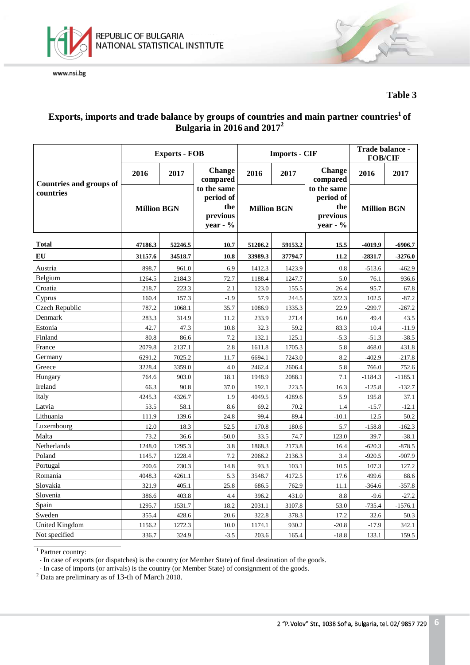



**Table 3**

## **Exports, imports and trade balance by groups of countries and main partner countries1 of Bulgaria in 2016 and 20172**

|                                |                    | <b>Exports - FOB</b> |                                                           |                    | <b>Imports - CIF</b> | Trade balance -<br><b>FOB/CIF</b>                       |                    |           |
|--------------------------------|--------------------|----------------------|-----------------------------------------------------------|--------------------|----------------------|---------------------------------------------------------|--------------------|-----------|
| <b>Countries and groups of</b> | 2016               | 2017                 | <b>Change</b><br>compared                                 | 2016               | 2017                 | <b>Change</b><br>compared                               | 2016               | 2017      |
| countries                      | <b>Million BGN</b> |                      | to the same<br>period of<br>the<br>previous<br>year - $%$ | <b>Million BGN</b> |                      | to the same<br>period of<br>the<br>previous<br>year - % | <b>Million BGN</b> |           |
| Total                          | 47186.3            | 52246.5              | 10.7                                                      | 51206.2            | 59153.2              | 15.5                                                    | -4019.9            | $-6906.7$ |
| EU                             | 31157.6            | 34518.7              | 10.8                                                      | 33989.3            | 37794.7              | 11.2                                                    | $-2831.7$          | $-3276.0$ |
| Austria                        | 898.7              | 961.0                | 6.9                                                       | 1412.3             | 1423.9               | 0.8                                                     | $-513.6$           | $-462.9$  |
| Belgium                        | 1264.5             | 2184.3               | 72.7                                                      | 1188.4             | 1247.7               | 5.0                                                     | 76.1               | 936.6     |
| Croatia                        | 218.7              | 223.3                | 2.1                                                       | 123.0              | 155.5                | 26.4                                                    | 95.7               | 67.8      |
| Cyprus                         | 160.4              | 157.3                | $-1.9$                                                    | 57.9               | 244.5                | 322.3                                                   | 102.5              | $-87.2$   |
| Czech Republic                 | 787.2              | 1068.1               | 35.7                                                      | 1086.9             | 1335.3               | 22.9                                                    | $-299.7$           | $-267.2$  |
| Denmark                        | 283.3              | 314.9                | 11.2                                                      | 233.9              | 271.4                | 16.0                                                    | 49.4               | 43.5      |
| Estonia                        | 42.7               | 47.3                 | 10.8                                                      | 32.3               | 59.2                 | 83.3                                                    | 10.4               | $-11.9$   |
| Finland                        | 80.8               | 86.6                 | 7.2                                                       | 132.1              | 125.1                | $-5.3$                                                  | $-51.3$            | $-38.5$   |
| France                         | 2079.8             | 2137.1               | 2.8                                                       | 1611.8             | 1705.3               | 5.8                                                     | 468.0              | 431.8     |
| Germany                        | 6291.2             | 7025.2               | 11.7                                                      | 6694.1             | 7243.0               | 8.2                                                     | $-402.9$           | $-217.8$  |
| Greece                         | 3228.4             | 3359.0               | 4.0                                                       | 2462.4             | 2606.4               | 5.8                                                     | 766.0              | 752.6     |
| Hungary                        | 764.6              | 903.0                | 18.1                                                      | 1948.9             | 2088.1               | 7.1                                                     | $-1184.3$          | $-1185.1$ |
| Ireland                        | 66.3               | 90.8                 | 37.0                                                      | 192.1              | 223.5                | 16.3                                                    | $-125.8$           | $-132.7$  |
| Italy                          | 4245.3             | 4326.7               | 1.9                                                       | 4049.5             | 4289.6               | 5.9                                                     | 195.8              | 37.1      |
| Latvia                         | 53.5               | 58.1                 | 8.6                                                       | 69.2               | 70.2                 | 1.4                                                     | $-15.7$            | $-12.1$   |
| Lithuania                      | 111.9              | 139.6                | 24.8                                                      | 99.4               | 89.4                 | $-10.1$                                                 | 12.5               | 50.2      |
| Luxembourg                     | 12.0               | 18.3                 | 52.5                                                      | 170.8              | 180.6                | 5.7                                                     | $-158.8$           | $-162.3$  |
| Malta                          | 73.2               | 36.6                 | $-50.0$                                                   | 33.5               | 74.7                 | 123.0                                                   | 39.7               | $-38.1$   |
| Netherlands                    | 1248.0             | 1295.3               | 3.8                                                       | 1868.3             | 2173.8               | 16.4                                                    | $-620.3$           | $-878.5$  |
| Poland                         | 1145.7             | 1228.4               | 7.2                                                       | 2066.2             | 2136.3               | 3.4                                                     | $-920.5$           | $-907.9$  |
| Portugal                       | 200.6              | 230.3                | 14.8                                                      | 93.3               | 103.1                | 10.5                                                    | 107.3              | 127.2     |
| Romania                        | 4048.3             | 4261.1               | 5.3                                                       | 3548.7             | 4172.5               | 17.6                                                    | 499.6              | 88.6      |
| Slovakia                       | 321.9              | 405.1                | 25.8                                                      | 686.5              | 762.9                | 11.1                                                    | $-364.6$           | $-357.8$  |
| Slovenia                       | 386.6              | 403.8                | 4.4                                                       | 396.2              | 431.0                | 8.8                                                     | $-9.6$             | $-27.2$   |
| Spain                          | 1295.7             | 1531.7               | 18.2                                                      | 2031.1             | 3107.8               | 53.0                                                    | $-735.4$           | $-1576.1$ |
| Sweden                         | 355.4              | 428.6                | 20.6                                                      | 322.8              | 378.3                | 17.2                                                    | 32.6               | 50.3      |
| <b>United Kingdom</b>          | 1156.2             | 1272.3               | 10.0                                                      | 1174.1             | 930.2                | $-20.8$                                                 | $-17.9$            | 342.1     |
| Not specified                  | 336.7              | 324.9                | $-3.5$                                                    | 203.6              | 165.4                | $-18.8$                                                 | 133.1              | 159.5     |

<sup>1</sup> Partner country:

- In case of exports (or dispatches) is the country (or Member State) of final destination of the goods.

- In case of imports (or arrivals) is the country (or Member State) of consignment of the goods.

<sup>2</sup> Data are preliminary as of 13-th of March 2018.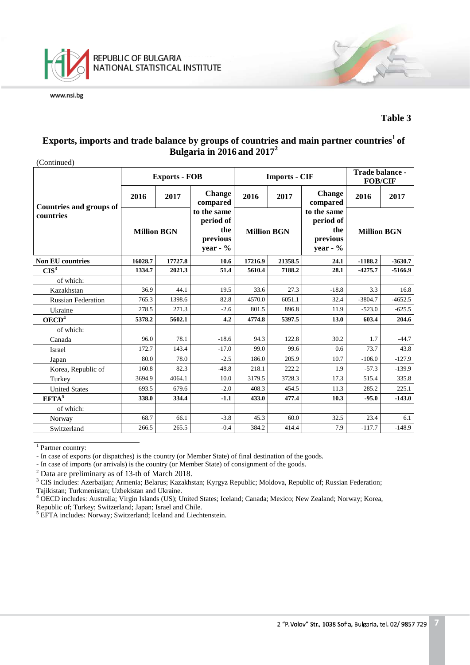

#### **Table 3**

## **Exports, imports and trade balance by groups of countries and main partner countries1 of Bulgaria in 2016 and 20172**

(Continued)

|                                |                    | <b>Exports - FOB</b> |                                                            |                    | <b>Imports - CIF</b> | Trade balance -<br><b>FOB/CIF</b>                          |                    |           |
|--------------------------------|--------------------|----------------------|------------------------------------------------------------|--------------------|----------------------|------------------------------------------------------------|--------------------|-----------|
| <b>Countries and groups of</b> | 2016               | 2017                 | <b>Change</b><br>compared                                  | 2016<br>2017       |                      | <b>Change</b><br>compared                                  | 2016               | 2017      |
| countries                      | <b>Million BGN</b> |                      | to the same<br>period of<br>the<br>previous<br>year - $\%$ | <b>Million BGN</b> |                      | to the same<br>period of<br>the<br>previous<br>year - $\%$ | <b>Million BGN</b> |           |
| <b>Non EU countries</b>        | 16028.7            | 17727.8              | 10.6                                                       | 17216.9            | 21358.5              | 24.1                                                       | $-1188.2$          | $-3630.7$ |
| CIS <sup>3</sup>               | 1334.7             | 2021.3               | 51.4                                                       | 5610.4             | 7188.2               | 28.1                                                       | $-4275.7$          | $-5166.9$ |
| of which:                      |                    |                      |                                                            |                    |                      |                                                            |                    |           |
| Kazakhstan                     | 36.9               | 44.1                 | 19.5                                                       | 33.6               | 27.3                 | $-18.8$                                                    | 3.3                | 16.8      |
| <b>Russian Federation</b>      | 765.3              | 1398.6               | 82.8                                                       | 4570.0             | 6051.1               | 32.4                                                       | $-3804.7$          | $-4652.5$ |
| Ukraine                        | 278.5<br>271.3     |                      | $-2.6$                                                     | 801.5              | 896.8                | 11.9                                                       | $-523.0$           | $-625.5$  |
| OECD <sup>4</sup>              | 5378.2             | 5602.1               | 4.2                                                        | 4774.8             | 5397.5               | 13.0                                                       | 603.4              | 204.6     |
| of which:                      |                    |                      |                                                            |                    |                      |                                                            |                    |           |
| Canada                         | 96.0               | 78.1                 | $-18.6$                                                    | 94.3               | 122.8                | 30.2                                                       | 1.7                | $-44.7$   |
| Israel                         | 172.7              | 143.4                | $-17.0$                                                    | 99.0               | 99.6                 | 0.6                                                        | 73.7               | 43.8      |
| Japan                          | 80.0               | 78.0                 | $-2.5$                                                     | 186.0              | 205.9                | 10.7                                                       | $-106.0$           | $-127.9$  |
| Korea, Republic of             | 160.8              | 82.3                 | $-48.8$                                                    | 218.1              | 222.2                | 1.9                                                        | $-57.3$            | $-139.9$  |
| Turkey                         | 3694.9             | 4064.1               | 10.0                                                       | 3179.5             | 3728.3               | 17.3                                                       | 515.4              | 335.8     |
| <b>United States</b>           | 693.5              | 679.6                | $-2.0$                                                     | 408.3              | 454.5                | 11.3                                                       | 285.2              | 225.1     |
| EFTA <sup>5</sup>              | 338.0              | 334.4                | $-1.1$                                                     | 433.0              | 477.4                | 10.3                                                       | $-95.0$            | $-143.0$  |
| of which:                      |                    |                      |                                                            |                    |                      |                                                            |                    |           |
| Norway                         | 68.7               | 66.1                 | $-3.8$                                                     | 45.3               | 60.0                 | 32.5                                                       | 23.4               | 6.1       |
| Switzerland                    | 266.5              | 265.5                | $-0.4$                                                     | 384.2              | 414.4                | 7.9                                                        | $-117.7$           | $-148.9$  |

<sup>1</sup> Partner country:

- In case of exports (or dispatches) is the country (or Member State) of final destination of the goods.

- In case of imports (or arrivals) is the country (or Member State) of consignment of the goods.

<sup>2</sup> Data are preliminary as of 13-th of March 2018.<br><sup>3</sup> CIS includes: Azerbaijan; Armenia; Belarus; Kazakhstan; Kyrgyz Republic; Moldova, Republic of; Russian Federation; Tajikistan; Turkmenistan; Uzbekistan and Ukraine.

<sup>4</sup> OECD includes: Australia; Virgin Islands (US); United States; Iceland; Canada; Mexico; New Zealand; Norway; Korea, Republic of; Turkey; Switzerland; Japan; Israel and Chile.

<sup>5</sup> EFTA includes: Norway; Switzerland; Iceland and Liechtenstein.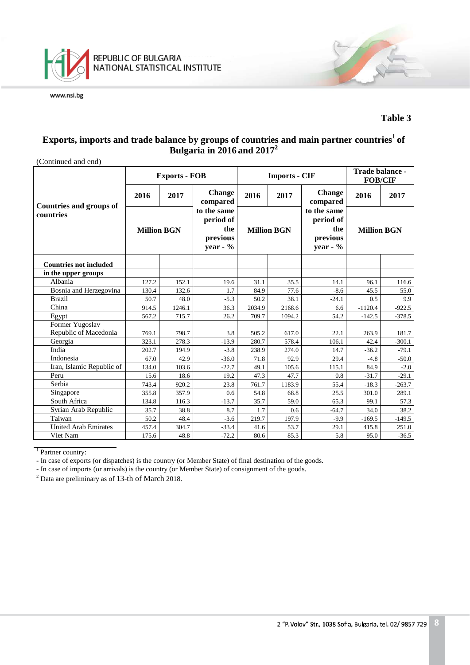

### **Table 3**

## **Exports, imports and trade balance by groups of countries and main partner countries1 of Bulgaria in 2016 and 20172**

| (Continued and end)            |                    |                      |                                                            |        |                      |                                                            |                    |          |
|--------------------------------|--------------------|----------------------|------------------------------------------------------------|--------|----------------------|------------------------------------------------------------|--------------------|----------|
|                                |                    | <b>Exports - FOB</b> |                                                            |        | <b>Imports - CIF</b> | Trade balance -<br><b>FOB/CIF</b>                          |                    |          |
| <b>Countries and groups of</b> | 2016               | 2017                 | <b>Change</b><br>compared                                  | 2016   | 2017                 | <b>Change</b><br>compared                                  | 2016               | 2017     |
| countries                      | <b>Million BGN</b> |                      | to the same<br>period of<br>the<br>previous<br>year - $\%$ |        | <b>Million BGN</b>   | to the same<br>period of<br>the<br>previous<br>year - $\%$ | <b>Million BGN</b> |          |
| <b>Countries not included</b>  |                    |                      |                                                            |        |                      |                                                            |                    |          |
| in the upper groups            |                    |                      |                                                            |        |                      |                                                            |                    |          |
| Albania                        | 127.2              | 152.1                | 19.6                                                       | 31.1   | 35.5                 | 14.1                                                       | 96.1               | 116.6    |
| Bosnia and Herzegovina         | 130.4              | 132.6                | 1.7                                                        | 84.9   | 77.6                 | $-8.6$                                                     | 45.5               | 55.0     |
| <b>Brazil</b>                  | 50.7               | 48.0                 | $-5.3$                                                     | 50.2   | 38.1                 | $-24.1$                                                    | 0.5                | 9.9      |
| China                          | 914.5              | 1246.1               | 36.3                                                       | 2034.9 | 2168.6               | 6.6                                                        | $-1120.4$          | $-922.5$ |
| Egypt                          | 567.2              | 715.7                | 26.2                                                       | 709.7  | 1094.2               | 54.2                                                       | $-142.5$           | $-378.5$ |
| Former Yugoslav                |                    |                      |                                                            |        |                      |                                                            |                    |          |
| Republic of Macedonia          | 769.1              | 798.7                | 3.8                                                        | 505.2  | 617.0                | 22.1                                                       | 263.9              | 181.7    |
| Georgia                        | 323.1              | 278.3                | $-13.9$                                                    | 280.7  | 578.4                | 106.1                                                      | 42.4               | $-300.1$ |
| India                          | 202.7              | 194.9                | $-3.8$                                                     | 238.9  | 274.0                | 14.7                                                       | $-36.2$            | $-79.1$  |
| Indonesia                      | 67.0               | 42.9                 | $-36.0$                                                    | 71.8   | 92.9                 | 29.4                                                       | $-4.8$             | $-50.0$  |
| Iran, Islamic Republic of      | 134.0              | 103.6                | $-22.7$                                                    | 49.1   | 105.6                | 115.1                                                      | 84.9               | $-2.0$   |
| Peru                           | 15.6               | 18.6                 | 19.2                                                       | 47.3   | 47.7                 | 0.8                                                        | $-31.7$            | $-29.1$  |
| Serbia                         | 743.4              | 920.2                | 23.8                                                       | 761.7  | 1183.9               | 55.4                                                       | $-18.3$            | $-263.7$ |
| Singapore                      | 355.8              | 357.9                | 0.6                                                        | 54.8   | 68.8                 | 25.5                                                       | 301.0              | 289.1    |
| South Africa                   | 134.8              | 116.3                | $-13.7$                                                    | 35.7   | 59.0                 | 65.3                                                       | 99.1               | 57.3     |
| Syrian Arab Republic           | 35.7               | 38.8                 | 8.7                                                        | 1.7    | 0.6                  | $-64.7$                                                    | 34.0               | 38.2     |
| Taiwan                         | 50.2               | 48.4                 | $-3.6$                                                     | 219.7  | 197.9                | $-9.9$                                                     | $-169.5$           | $-149.5$ |
| <b>United Arab Emirates</b>    | 457.4              | 304.7                | $-33.4$                                                    | 41.6   | 53.7                 | 29.1                                                       | 415.8              | 251.0    |
| Viet Nam                       | 175.6              | 48.8                 | $-72.2$                                                    | 80.6   | 85.3                 | 5.8                                                        | 95.0               | $-36.5$  |

<sup>1</sup> Partner country:

- In case of exports (or dispatches) is the country (or Member State) of final destination of the goods.

- In case of imports (or arrivals) is the country (or Member State) of consignment of the goods.

<sup>2</sup> Data are preliminary as of 13-th of March 2018.